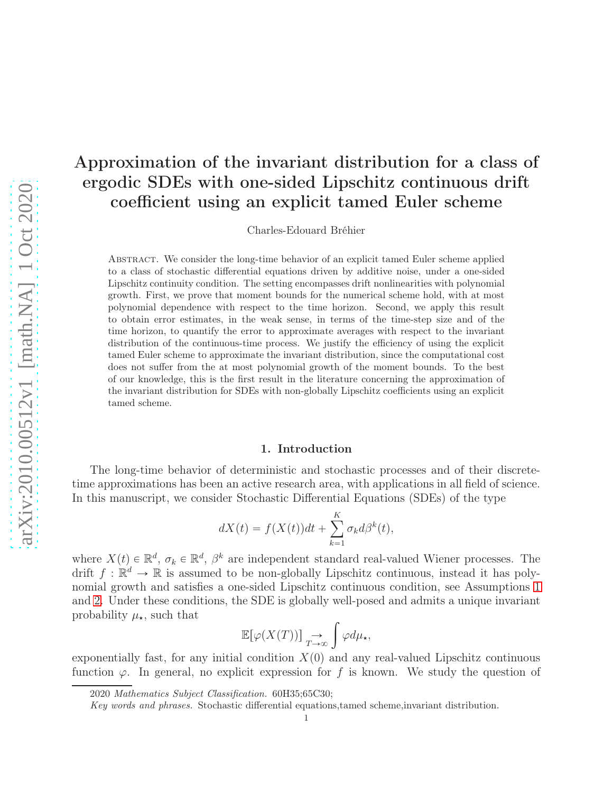# Approximation of the invariant distribution for a class of ergodic SDEs with one-sided Lipschitz continuous drift coefficient using an explicit tamed Euler scheme

Charles-Edouard Bréhier

Abstract. We consider the long-time behavior of an explicit tamed Euler scheme applied to a class of stochastic differential equations driven by additive noise, under a one-sided Lipschitz continuity condition. The setting encompasses drift nonlinearities with polynomial growth. First, we prove that moment bounds for the numerical scheme hold, with at most polynomial dependence with respect to the time horizon. Second, we apply this result to obtain error estimates, in the weak sense, in terms of the time-step size and of the time horizon, to quantify the error to approximate averages with respect to the invariant distribution of the continuous-time process. We justify the efficiency of using the explicit tamed Euler scheme to approximate the invariant distribution, since the computational cost does not suffer from the at most polynomial growth of the moment bounds. To the best of our knowledge, this is the first result in the literature concerning the approximation of the invariant distribution for SDEs with non-globally Lipschitz coefficients using an explicit tamed scheme.

#### 1. Introduction

The long-time behavior of deterministic and stochastic processes and of their discretetime approximations has been an active research area, with applications in all field of science. In this manuscript, we consider Stochastic Differential Equations (SDEs) of the type

$$
dX(t) = f(X(t))dt + \sum_{k=1}^{K} \sigma_k d\beta^k(t),
$$

where  $X(t) \in \mathbb{R}^d$ ,  $\sigma_k \in \mathbb{R}^d$ ,  $\beta^k$  are independent standard real-valued Wiener processes. The drift  $f : \mathbb{R}^d \to \mathbb{R}$  is assumed to be non-globally Lipschitz continuous, instead it has polynomial growth and satisfies a one-sided Lipschitz continuous condition, see Assumptions [1](#page-2-0) and [2.](#page-2-1) Under these conditions, the SDE is globally well-posed and admits a unique invariant probability  $\mu_{\star}$ , such that

$$
\mathbb{E}[\varphi(X(T))] \underset{T \to \infty}{\to} \int \varphi d\mu_{\star},
$$

exponentially fast, for any initial condition  $X(0)$  and any real-valued Lipschitz continuous function  $\varphi$ . In general, no explicit expression for f is known. We study the question of

<sup>2020</sup> Mathematics Subject Classification. 60H35;65C30;

Key words and phrases. Stochastic differential equations,tamed scheme,invariant distribution.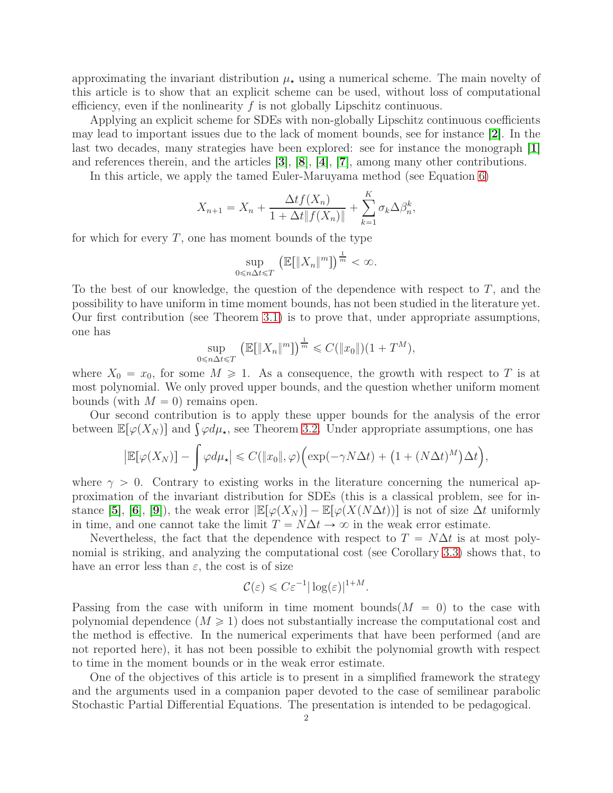approximating the invariant distribution  $\mu_{\star}$  using a numerical scheme. The main novelty of this article is to show that an explicit scheme can be used, without loss of computational efficiency, even if the nonlinearity  $f$  is not globally Lipschitz continuous.

Applying an explicit scheme for SDEs with non-globally Lipschitz continuous coefficients may lead to important issues due to the lack of moment bounds, see for instance [[2](#page-13-0)]. In the last two decades, many strategies have been explored: see for instance the monograph [[1](#page-13-1)] and references therein, and the articles  $[3], [8], [4], [7]$  $[3], [8], [4], [7]$  $[3], [8], [4], [7]$  $[3], [8], [4], [7]$  $[3], [8], [4], [7]$  $[3], [8], [4], [7]$  $[3], [8], [4], [7]$  $[3], [8], [4], [7]$  $[3], [8], [4], [7]$ , among many other contributions.

In this article, we apply the tamed Euler-Maruyama method (see Equation [6\)](#page-3-0)

$$
X_{n+1} = X_n + \frac{\Delta t f(X_n)}{1 + \Delta t \|f(X_n)\|} + \sum_{k=1}^{K} \sigma_k \Delta \beta_n^k,
$$

for which for every  $T$ , one has moment bounds of the type

$$
\sup_{0 \le n \Delta t \le T} \left( \mathbb{E}[\|X_n\|^m] \right)^{\frac{1}{m}} < \infty.
$$

To the best of our knowledge, the question of the dependence with respect to T, and the possibility to have uniform in time moment bounds, has not been studied in the literature yet. Our first contribution (see Theorem [3.1\)](#page-4-0) is to prove that, under appropriate assumptions, one has

$$
\sup_{0 \le n \Delta t \le T} \left( \mathbb{E}[\|X_n\|^m] \right)^{\frac{1}{m}} \le C(\|x_0\|)(1+T^M),
$$

where  $X_0 = x_0$ , for some  $M \ge 1$ . As a consequence, the growth with respect to T is at most polynomial. We only proved upper bounds, and the question whether uniform moment bounds (with  $M = 0$ ) remains open.

Our second contribution is to apply these upper bounds for the analysis of the error between  $\mathbb{E}[\varphi(X_N)]$  and  $\int \varphi d\mu_{\star}$ , see Theorem [3.2.](#page-4-1) Under appropriate assumptions, one has

$$
\left|\mathbb{E}[\varphi(X_N)]-\int \varphi d\mu_\star\right|\leqslant C(\|x_0\|,\varphi)\Big(\exp(-\gamma N\Delta t)+\big(1+(N\Delta t)^M\big)\Delta t\Big),
$$

where  $\gamma > 0$ . Contrary to existing works in the literature concerning the numerical approximation of the invariant distribution for SDEs (this is a classical problem, see for in-stance [[5](#page-13-6)], [[6](#page-13-7)], [[9](#page-13-8)]), the weak error  $\mathbb{E}[\varphi(X_N)] - \mathbb{E}[\varphi(X(N\Delta t))]$  is not of size  $\Delta t$  uniformly in time, and one cannot take the limit  $T = N\Delta t \rightarrow \infty$  in the weak error estimate.

Nevertheless, the fact that the dependence with respect to  $T = N\Delta t$  is at most polynomial is striking, and analyzing the computational cost (see Corollary [3.3\)](#page-5-0) shows that, to have an error less than  $\varepsilon$ , the cost is of size

$$
\mathcal{C}(\varepsilon) \leqslant C\varepsilon^{-1}|\log(\varepsilon)|^{1+M}.
$$

Passing from the case with uniform in time moment bounds  $(M = 0)$  to the case with polynomial dependence  $(M \ge 1)$  does not substantially increase the computational cost and the method is effective. In the numerical experiments that have been performed (and are not reported here), it has not been possible to exhibit the polynomial growth with respect to time in the moment bounds or in the weak error estimate.

One of the objectives of this article is to present in a simplified framework the strategy and the arguments used in a companion paper devoted to the case of semilinear parabolic Stochastic Partial Differential Equations. The presentation is intended to be pedagogical.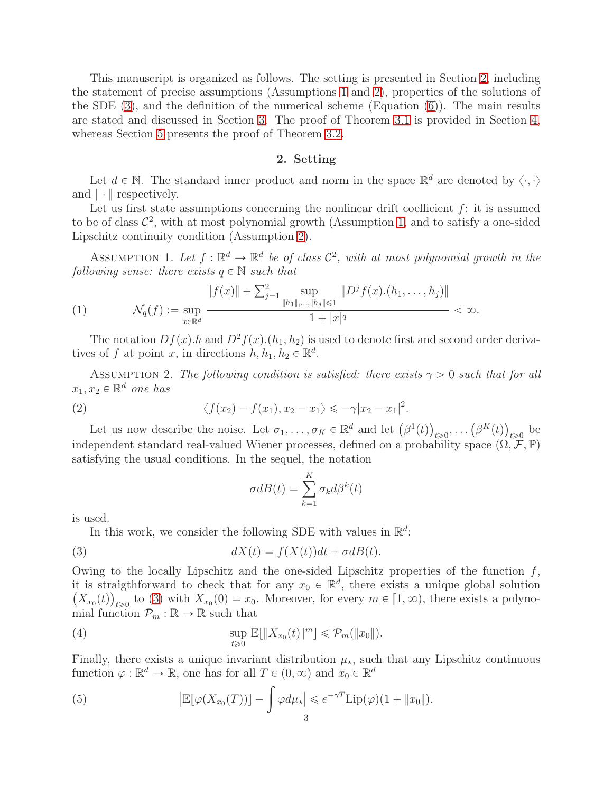This manuscript is organized as follows. The setting is presented in Section [2,](#page-2-2) including the statement of precise assumptions (Assumptions [1](#page-2-0) and [2\)](#page-2-1), properties of the solutions of the SDE  $(3)$ , and the definition of the numerical scheme (Equation  $(6)$ ). The main results are stated and discussed in Section [3.](#page-4-2) The proof of Theorem [3.1](#page-4-0) is provided in Section [4,](#page-6-0) whereas Section [5](#page-9-0) presents the proof of Theorem [3.2.](#page-4-1)

# 2. Setting

<span id="page-2-2"></span>Let  $d \in \mathbb{N}$ . The standard inner product and norm in the space  $\mathbb{R}^d$  are denoted by  $\langle \cdot, \cdot \rangle$ and  $\|\cdot\|$  respectively.

Let us first state assumptions concerning the nonlinear drift coefficient  $f$ : it is assumed to be of class  $\mathcal{C}^2$ , with at most polynomial growth (Assumption [1,](#page-2-0) and to satisfy a one-sided Lipschitz continuity condition (Assumption [2\)](#page-2-1).

<span id="page-2-0"></span>ASSUMPTION 1. Let  $f : \mathbb{R}^d \to \mathbb{R}^d$  be of class  $\mathcal{C}^2$ , with at most polynomial growth in the following sense: there exists  $q \in \mathbb{N}$  such that

(1) 
$$
\mathcal{N}_q(f) := \sup_{x \in \mathbb{R}^d} \frac{\|f(x)\| + \sum_{j=1}^2 \sup_{\|h_1\|,\dots,\|h_j\| \leq 1} \|D^j f(x) \cdot (h_1,\dots,h_j)\|}{1 + |x|^q} < \infty.
$$

The notation  $Df(x)$ .h and  $D^2f(x)$ . $(h_1, h_2)$  is used to denote first and second order derivatives of f at point x, in directions  $h, h_1, h_2 \in \mathbb{R}^d$ .

<span id="page-2-1"></span>ASSUMPTION 2. The following condition is satisfied: there exists  $\gamma > 0$  such that for all  $x_1, x_2 \in \mathbb{R}^d$  one has

(2) 
$$
\langle f(x_2) - f(x_1), x_2 - x_1 \rangle \leqslant -\gamma |x_2 - x_1|^2.
$$

Let us now describe the noise. Let  $\sigma_1, \ldots, \sigma_K \in \mathbb{R}^d$  and let  $(\beta^1(t))_{t \geq 0}, \ldots (\beta^K(t))_{t \geq 0}$  be independent standard real-valued Wiener processes, defined on a probability space  $(\Omega, \mathcal{F}, \mathbb{P})$ satisfying the usual conditions. In the sequel, the notation

<span id="page-2-5"></span><span id="page-2-4"></span><span id="page-2-3"></span>
$$
\sigma dB(t) = \sum_{k=1}^{K} \sigma_k d\beta^k(t)
$$

is used.

In this work, we consider the following SDE with values in  $\mathbb{R}^d$ :

(3) 
$$
dX(t) = f(X(t))dt + \sigma dB(t).
$$

Owing to the locally Lipschitz and the one-sided Lipschitz properties of the function  $f$ , it is straigthforward to check that for any  $x_0 \in \mathbb{R}^d$ , there exists a unique global solution  $(X_{x_0}(t))_{t\geqslant0}$  to [\(3\)](#page-2-3) with  $X_{x_0}(0)=x_0$ . Moreover, for every  $m\in[1,\infty)$ , there exists a polynomial function  $\mathcal{P}_m : \mathbb{R} \to \mathbb{R}$  such that

(4) 
$$
\sup_{t\geq 0} \mathbb{E}[\|X_{x_0}(t)\|^m] \leq \mathcal{P}_m(\|x_0\|).
$$

Finally, there exists a unique invariant distribution  $\mu_{\star}$ , such that any Lipschitz continuous function  $\varphi : \mathbb{R}^d \to \mathbb{R}$ , one has for all  $T \in (0, \infty)$  and  $x_0 \in \mathbb{R}^d$ 

<span id="page-2-6"></span>(5) 
$$
\left| \mathbb{E}[\varphi(X_{x_0}(T))] - \int \varphi d\mu_{\star} \right| \leqslant e^{-\gamma T} \mathrm{Lip}(\varphi)(1 + \|x_0\|).
$$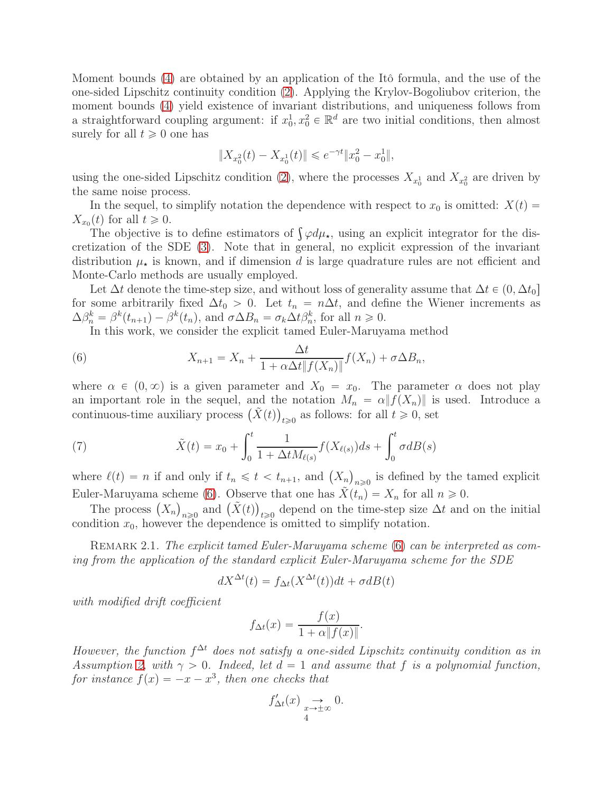Moment bounds [\(4\)](#page-2-4) are obtained by an application of the Itô formula, and the use of the one-sided Lipschitz continuity condition [\(2\)](#page-2-5). Applying the Krylov-Bogoliubov criterion, the moment bounds [\(4\)](#page-2-4) yield existence of invariant distributions, and uniqueness follows from a straightforward coupling argument: if  $x_0^1, x_0^2 \in \mathbb{R}^d$  are two initial conditions, then almost surely for all  $t \geq 0$  one has

$$
||X_{x_0^2}(t) - X_{x_0^1}(t)|| \leqslant e^{-\gamma t} ||x_0^2 - x_0^1||,
$$

using the one-sided Lipschitz condition [\(2\)](#page-2-5), where the processes  $X_{x_0}$  and  $X_{x_0}$  are driven by the same noise process.

In the sequel, to simplify notation the dependence with respect to  $x_0$  is omitted:  $X(t)$  $X_{x_0}(t)$  for all  $t \geqslant 0$ .

The objective is to define estimators of  $\int \varphi d\mu_{\star}$ , using an explicit integrator for the discretization of the SDE [\(3\)](#page-2-3). Note that in general, no explicit expression of the invariant distribution  $\mu_{\star}$  is known, and if dimension d is large quadrature rules are not efficient and Monte-Carlo methods are usually employed.

Let  $\Delta t$  denote the time-step size, and without loss of generality assume that  $\Delta t \in (0, \Delta t_0]$ for some arbitrarily fixed  $\Delta t_0 > 0$ . Let  $t_n = n\Delta t$ , and define the Wiener increments as  $\Delta \beta_n^k = \beta^k(t_{n+1}) - \beta^k(t_n)$ , and  $\sigma \Delta B_n = \sigma_k \Delta t \beta_n^k$ , for all  $n \geq 0$ .

<span id="page-3-0"></span>In this work, we consider the explicit tamed Euler-Maruyama method

(6) 
$$
X_{n+1} = X_n + \frac{\Delta t}{1 + \alpha \Delta t \|f(X_n)\|} f(X_n) + \sigma \Delta B_n,
$$

where  $\alpha \in (0, \infty)$  is a given parameter and  $X_0 = x_0$ . The parameter  $\alpha$  does not play an important role in the sequel, and the notation  $M_n = \alpha ||f(X_n)||$  is used. Introduce a continuous-time auxiliary process  $(\tilde{X}(t))_{t \geq 0}$  as follows: for all  $t \geq 0$ , set

<span id="page-3-1"></span>(7) 
$$
\tilde{X}(t) = x_0 + \int_0^t \frac{1}{1 + \Delta t M_{\ell(s)}} f(X_{\ell(s)}) ds + \int_0^t \sigma dB(s)
$$

where  $\ell(t) = n$  if and only if  $t_n \leq t < t_{n+1}$ , and  $(X_n)_{n \geq 0}$  is defined by the tamed explicit Euler-Maruyama scheme [\(6\)](#page-3-0). Observe that one has  $\tilde{X}(t_n) = X_n$  for all  $n \geq 0$ .

The process  $(X_n)_{n\geqslant 0}$  and  $(\tilde{X}(t))_{t\geqslant 0}$  depend on the time-step size  $\Delta t$  and on the initial condition  $x_0$ , however the dependence is omitted to simplify notation.

REMARK 2.1. The explicit tamed Euler-Maruyama scheme [\(6\)](#page-3-0) can be interpreted as coming from the application of the standard explicit Euler-Maruyama scheme for the SDE

$$
dX^{\Delta t}(t) = f_{\Delta t}(X^{\Delta t}(t))dt + \sigma dB(t)
$$

with modified drift coefficient

$$
f_{\Delta t}(x) = \frac{f(x)}{1 + \alpha \|f(x)\|}.
$$

However, the function  $f^{\Delta t}$  does not satisfy a one-sided Lipschitz continuity condition as in Assumption [2,](#page-2-1) with  $\gamma > 0$ . Indeed, let  $d = 1$  and assume that f is a polynomial function, for instance  $f(x) = -x - x^3$ , then one checks that

$$
f'_{\Delta t}(x) \underset{4}{\rightarrow} 0.
$$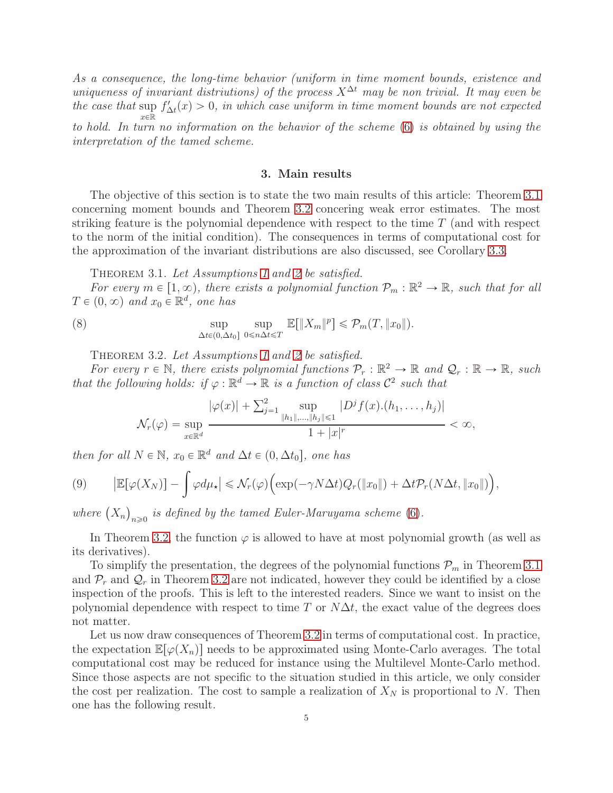As a consequence, the long-time behavior (uniform in time moment bounds, existence and uniqueness of invariant distriutions) of the process  $X^{\Delta t}$  may be non trivial. It may even be the case that sup  $x\in\mathbb{\bar{R}}$  $f'_{\Delta t}(x) > 0$ , in which case uniform in time moment bounds are not expected to hold. In turn no information on the behavior of the scheme [\(6\)](#page-3-0) is obtained by using the interpretation of the tamed scheme.

#### 3. Main results

<span id="page-4-2"></span>The objective of this section is to state the two main results of this article: Theorem [3.1](#page-4-0) concerning moment bounds and Theorem [3.2](#page-4-1) concering weak error estimates. The most striking feature is the polynomial dependence with respect to the time  $T$  (and with respect to the norm of the initial condition). The consequences in terms of computational cost for the approximation of the invariant distributions are also discussed, see Corollary [3.3.](#page-5-0)

THEOREM 3.1. Let Assumptions [1](#page-2-0) and [2](#page-2-1) be satisfied.

<span id="page-4-0"></span>For every  $m \in [1, \infty)$ , there exists a polynomial function  $\mathcal{P}_m : \mathbb{R}^2 \to \mathbb{R}$ , such that for all  $T \in (0, \infty)$  and  $x_0 \in \mathbb{R}^d$ , one has

(8) 
$$
\sup_{\Delta t \in (0,\Delta t_0]} \sup_{0 \leq n\Delta t \leq T} \mathbb{E}[\|X_m\|^p] \leq \mathcal{P}_m(T, \|x_0\|).
$$

THEOREM 3.2. Let Assumptions [1](#page-2-0) and [2](#page-2-1) be satisfied.

<span id="page-4-1"></span>For every  $r \in \mathbb{N}$ , there exists polynomial functions  $\mathcal{P}_r : \mathbb{R}^2 \to \mathbb{R}$  and  $\mathcal{Q}_r : \mathbb{R} \to \mathbb{R}$ , such that the following holds: if  $\varphi : \mathbb{R}^d \to \mathbb{R}$  is a function of class  $\mathcal{C}^2$  such that

$$
\mathcal{N}_r(\varphi) = \sup_{x \in \mathbb{R}^d} \frac{|\varphi(x)| + \sum_{j=1}^2 \sup_{\|h_1\|,\dots,\|h_j\| \leq 1} |D^j f(x) \cdot (h_1, \dots, h_j)|}{1 + |x|^r} < \infty,
$$

then for all  $N \in \mathbb{N}$ ,  $x_0 \in \mathbb{R}^d$  and  $\Delta t \in (0, \Delta t_0]$ , one has

(9) 
$$
\left| \mathbb{E}[\varphi(X_N)] - \int \varphi d\mu_{\star} \right| \leqslant \mathcal{N}_r(\varphi) \Big( \exp(-\gamma N \Delta t) Q_r(\|x_0\|) + \Delta t \mathcal{P}_r(N \Delta t, \|x_0\|) \Big),
$$

where  $(X_n)_{n\geqslant 0}$  is defined by the tamed Euler-Maruyama scheme [\(6\)](#page-3-0).

In Theorem [3.2,](#page-4-1) the function  $\varphi$  is allowed to have at most polynomial growth (as well as its derivatives).

To simplify the presentation, the degrees of the polynomial functions  $\mathcal{P}_m$  in Theorem [3.1](#page-4-0) and  $\mathcal{P}_r$  and  $\mathcal{Q}_r$  in Theorem [3.2](#page-4-1) are not indicated, however they could be identified by a close inspection of the proofs. This is left to the interested readers. Since we want to insist on the polynomial dependence with respect to time T or  $N\Delta t$ , the exact value of the degrees does not matter.

Let us now draw consequences of Theorem [3.2](#page-4-1) in terms of computational cost. In practice, the expectation  $\mathbb{E}[\varphi(X_n)]$  needs to be approximated using Monte-Carlo averages. The total computational cost may be reduced for instance using the Multilevel Monte-Carlo method. Since those aspects are not specific to the situation studied in this article, we only consider the cost per realization. The cost to sample a realization of  $X_N$  is proportional to N. Then one has the following result.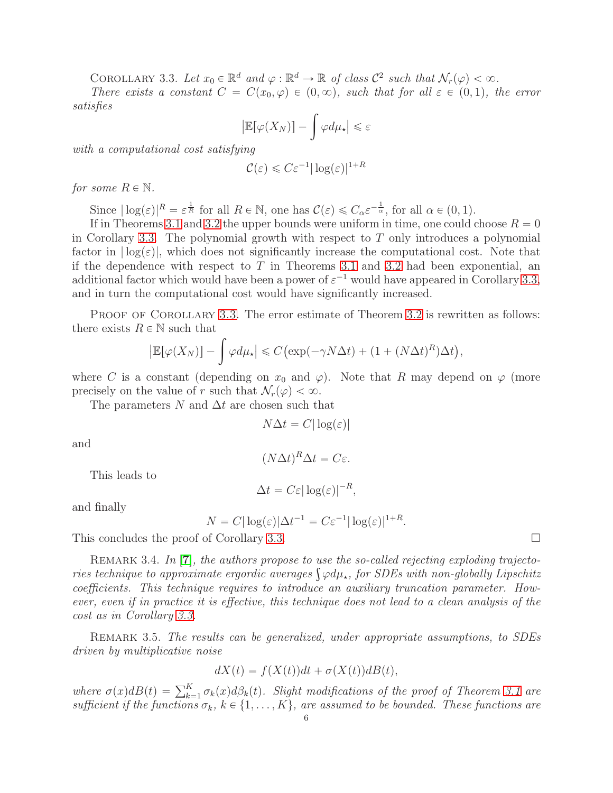COROLLARY 3.3. Let  $x_0 \in \mathbb{R}^d$  and  $\varphi : \mathbb{R}^d \to \mathbb{R}$  of class  $\mathcal{C}^2$  such that  $\mathcal{N}_r(\varphi) < \infty$ .

<span id="page-5-0"></span>There exists a constant  $C = C(x_0, \varphi) \in (0, \infty)$ , such that for all  $\varepsilon \in (0, 1)$ , the error satisfies

$$
\left|\mathbb{E}[\varphi(X_N)]-\int\varphi d\mu_\star\right|\leqslant\varepsilon
$$

with a computational cost satisfying

$$
\mathcal{C}(\varepsilon) \leqslant C\varepsilon^{-1}|\log(\varepsilon)|^{1+R}
$$

for some  $R \in \mathbb{N}$ .

Since  $|\log(\varepsilon)|^R = \varepsilon^{\frac{1}{R}}$  for all  $R \in \mathbb{N}$ , one has  $\mathcal{C}(\varepsilon) \leq C_\alpha \varepsilon^{-\frac{1}{\alpha}}$ , for all  $\alpha \in (0, 1)$ .

If in Theorems [3.1](#page-4-0) and [3.2](#page-4-1) the upper bounds were uniform in time, one could choose  $R = 0$ in Corollary [3.3.](#page-5-0) The polynomial growth with respect to  $T$  only introduces a polynomial factor in  $log(\varepsilon)|$ , which does not significantly increase the computational cost. Note that if the dependence with respect to  $T$  in Theorems [3.1](#page-4-0) and [3.2](#page-4-1) had been exponential, an additional factor which would have been a power of  $\varepsilon^{-1}$  would have appeared in Corollary [3.3,](#page-5-0) and in turn the computational cost would have significantly increased.

PROOF OF COROLLARY [3.3.](#page-5-0) The error estimate of Theorem [3.2](#page-4-1) is rewritten as follows: there exists  $R \in \mathbb{N}$  such that

$$
\left|\mathbb{E}[\varphi(X_N)]-\int \varphi d\mu_\star\right|\leqslant C\big(\exp(-\gamma N\Delta t)+(1+(N\Delta t)^R)\Delta t\big),
$$

where C is a constant (depending on  $x_0$  and  $\varphi$ ). Note that R may depend on  $\varphi$  (more precisely on the value of r such that  $\mathcal{N}_r(\varphi) < \infty$ .

The parameters N and  $\Delta t$  are chosen such that

 $N\Delta t = C|\log(\varepsilon)|$ 

and

$$
(N\Delta t)^R \Delta t = C\varepsilon.
$$

This leads to

$$
\Delta t = C \varepsilon |\log(\varepsilon)|^{-R},
$$

and finally

$$
N = C|\log(\varepsilon)|\Delta t^{-1} = C\varepsilon^{-1}|\log(\varepsilon)|^{1+R}
$$

.

This concludes the proof of Corollary [3.3.](#page-5-0)

REMARK 3.4. In  $|7|$  $|7|$  $|7|$ , the authors propose to use the so-called rejecting exploding trajectories technique to approximate ergordic averages  $\int \varphi d\mu_{\star}$ , for SDEs with non-globally Lipschitz coefficients. This technique requires to introduce an auxiliary truncation parameter. However, even if in practice it is effective, this technique does not lead to a clean analysis of the cost as in Corollary [3.3.](#page-5-0)

REMARK 3.5. The results can be generalized, under appropriate assumptions, to SDEs driven by multiplicative noise

$$
dX(t) = f(X(t))dt + \sigma(X(t))dB(t),
$$

where  $\sigma(x)dB(t) = \sum_{k=1}^{K} \sigma_k(x)d\beta_k(t)$ . Slight modifications of the proof of Theorem [3.1](#page-4-0) are sufficient if the functions  $\sigma_k$ ,  $k \in \{1, ..., K\}$ , are assumed to be bounded. These functions are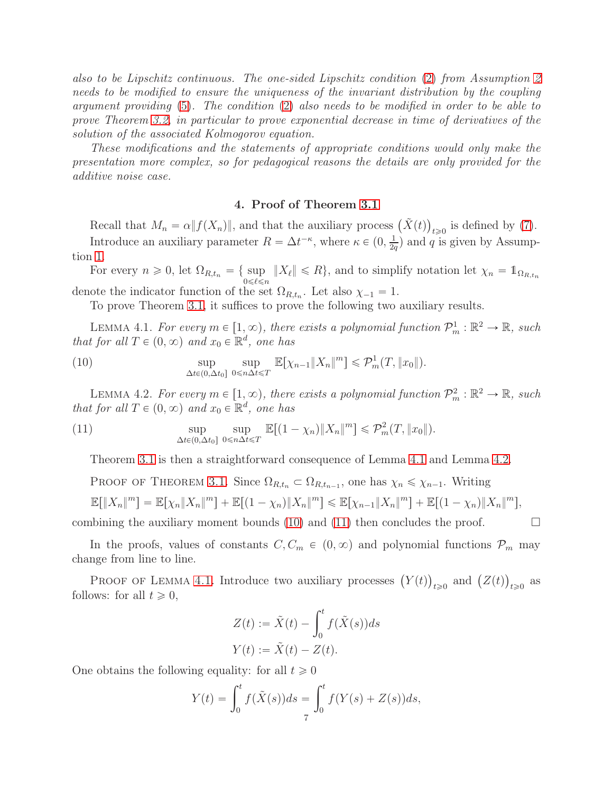also to be Lipschitz continuous. The one-sided Lipschitz condition [\(2\)](#page-2-5) from Assumption [2](#page-2-1) needs to be modified to ensure the uniqueness of the invariant distribution by the coupling argument providing [\(5\)](#page-2-6). The condition [\(2\)](#page-2-5) also needs to be modified in order to be able to prove Theorem [3.2,](#page-4-1) in particular to prove exponential decrease in time of derivatives of the solution of the associated Kolmogorov equation.

These modifications and the statements of appropriate conditions would only make the presentation more complex, so for pedagogical reasons the details are only provided for the additive noise case.

## 4. Proof of Theorem [3.1](#page-4-0)

<span id="page-6-0"></span>Recall that  $M_n = \alpha ||f(X_n)||$ , and that the auxiliary process  $(\tilde{X}(t))_{t \geq 0}$  is defined by [\(7\)](#page-3-1). Introduce an auxiliary parameter  $R = \Delta t^{-\kappa}$ , where  $\kappa \in (0, \frac{1}{2\kappa})$  $\frac{1}{2q}$ ) and q is given by Assumption [1.](#page-2-0)

For every  $n \geq 0$ , let  $\Omega_{R,t_n} = \{ \sup_{0 \leq \ell \leq n} ||X_{\ell}|| \leq R \}$ , and to simplify notation let  $\chi_n = \mathbb{1}_{\Omega_{R,t_n}}$ denote the indicator function of the set  $\Omega_{R,t_n}$ . Let also  $\chi_{-1} = 1$ .

<span id="page-6-3"></span>To prove Theorem [3.1,](#page-4-0) it suffices to prove the following two auxiliary results.

<span id="page-6-1"></span>LEMMA 4.1. For every  $m \in [1, \infty)$ , there exists a polynomial function  $\mathcal{P}_m^1 : \mathbb{R}^2 \to \mathbb{R}$ , such that for all  $T \in (0, \infty)$  and  $x_0 \in \mathbb{R}^d$ , one has

(10) 
$$
\sup_{\Delta t \in (0, \Delta t_0]} \sup_{0 \leq n \Delta t \leq T} \mathbb{E}[\chi_{n-1} || X_n ||^m] \leq \mathcal{P}_m^1(T, ||x_0||).
$$

<span id="page-6-2"></span>LEMMA 4.2. For every  $m \in [1, \infty)$ , there exists a polynomial function  $\mathcal{P}_m^2 : \mathbb{R}^2 \to \mathbb{R}$ , such that for all  $T \in (0, \infty)$  and  $x_0 \in \mathbb{R}^d$ , one has

(11) 
$$
\sup_{\Delta t \in (0, \Delta t_0]} \sup_{0 \le n \Delta t \le T} \mathbb{E}[(1 - \chi_n) \|X_n\|^m] \le \mathcal{P}_m^2(T, \|x_0\|).
$$

<span id="page-6-4"></span>Theorem [3.1](#page-4-0) is then a straightforward consequence of Lemma [4.1](#page-6-1) and Lemma [4.2.](#page-6-2)

PROOF OF THEOREM [3.1.](#page-4-0) Since  $\Omega_{R,t_n} \subset \Omega_{R,t_{n-1}}$ , one has  $\chi_n \leq \chi_{n-1}$ . Writing

$$
\mathbb{E}[||X_n|^m] = \mathbb{E}[\chi_n ||X_n|^m] + \mathbb{E}[(1 - \chi_n) ||X_n|^m] \le \mathbb{E}[\chi_{n-1} ||X_n|^m] + \mathbb{E}[(1 - \chi_n) ||X_n|^m],
$$

combining the auxiliary moment bounds [\(10\)](#page-6-3) and [\(11\)](#page-6-4) then concludes the proof.  $\Box$ 

In the proofs, values of constants  $C, C_m \in (0, \infty)$  and polynomial functions  $\mathcal{P}_m$  may change from line to line.

PROOF OF LEMMA [4.1.](#page-6-1) Introduce two auxiliary processes  $(Y(t))_{t\geqslant0}$  and  $(Z(t))_{t\geqslant0}$  as follows: for all  $t \geq 0$ ,

$$
Z(t) := \tilde{X}(t) - \int_0^t f(\tilde{X}(s))ds
$$
  

$$
Y(t) := \tilde{X}(t) - Z(t).
$$

One obtains the following equality: for all  $t \geq 0$ 

$$
Y(t) = \int_0^t f(\tilde{X}(s))ds = \int_0^t f(Y(s) + Z(s))ds,
$$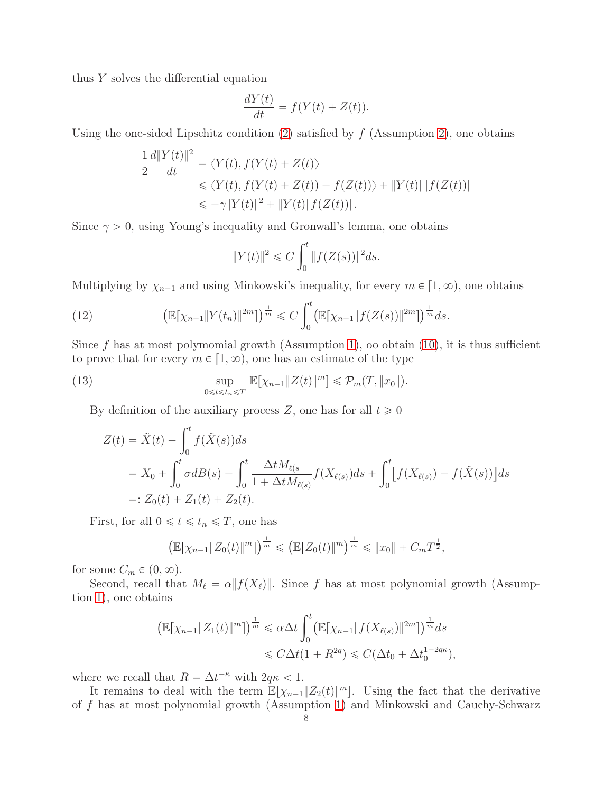thus Y solves the differential equation

$$
\frac{dY(t)}{dt} = f(Y(t) + Z(t)).
$$

Using the one-sided Lipschitz condition [\(2\)](#page-2-5) satisfied by  $f$  (Assumption [2\)](#page-2-1), one obtains

$$
\frac{1}{2} \frac{d||Y(t)||^2}{dt} = \langle Y(t), f(Y(t) + Z(t)) \rangle
$$
  
\n
$$
\leq \langle Y(t), f(Y(t) + Z(t)) - f(Z(t)) \rangle + ||Y(t)|| ||f(Z(t))||
$$
  
\n
$$
\leq -\gamma ||Y(t)||^2 + ||Y(t)||f(Z(t))||.
$$

Since  $\gamma > 0$ , using Young's inequality and Gronwall's lemma, one obtains

$$
||Y(t)||^{2} \leq C \int_{0}^{t} ||f(Z(s))||^{2} ds.
$$

Multiplying by  $\chi_{n-1}$  and using Minkowski's inequality, for every  $m \in [1, \infty)$ , one obtains

<span id="page-7-1"></span>(12) 
$$
\left(\mathbb{E}[\chi_{n-1}||Y(t_n)||^{2m}]\right)^{\frac{1}{m}} \leq C \int_0^t \left(\mathbb{E}[\chi_{n-1}||f(Z(s))||^{2m}]\right)^{\frac{1}{m}} ds.
$$

Since f has at most polymomial growth (Assumption [1\)](#page-2-0), oo obtain  $(10)$ , it is thus sufficient to prove that for every  $m \in [1, \infty)$ , one has an estimate of the type

(13) 
$$
\sup_{0\leq t\leq t_n\leq T}\mathbb{E}[\chi_{n-1}\|Z(t)\|^m]\leq \mathcal{P}_m(T,\|x_0\|).
$$

By definition of the auxiliary process Z, one has for all  $t \geq 0$ 

<span id="page-7-0"></span>
$$
Z(t) = \tilde{X}(t) - \int_0^t f(\tilde{X}(s))ds
$$
  
=  $X_0 + \int_0^t \sigma dB(s) - \int_0^t \frac{\Delta t M_{\ell(s)}}{1 + \Delta t M_{\ell(s)}} f(X_{\ell(s)}) ds + \int_0^t [f(X_{\ell(s)}) - f(\tilde{X}(s))] ds$   
=:  $Z_0(t) + Z_1(t) + Z_2(t)$ .

First, for all  $0 \leq t \leq t_n \leq T$ , one has

$$
\left(\mathbb{E}[\chi_{n-1}||Z_0(t)||^m]\right)^{\frac{1}{m}} \leqslant \left(\mathbb{E}[Z_0(t)||^m\right)^{\frac{1}{m}} \leqslant ||x_0|| + C_m T^{\frac{1}{2}},
$$

for some  $C_m \in (0, \infty)$ .

Second, recall that  $M_{\ell} = \alpha ||f(X_{\ell})||$ . Since f has at most polynomial growth (Assumption [1\)](#page-2-0), one obtains

$$
\left(\mathbb{E}[\chi_{n-1}||Z_1(t)||^m]\right)^{\frac{1}{m}} \leq \alpha \Delta t \int_0^t \left(\mathbb{E}[\chi_{n-1}||f(X_{\ell(s)})||^{2m}]\right)^{\frac{1}{m}} ds
$$
  

$$
\leq C \Delta t (1 + R^{2q}) \leq C(\Delta t_0 + \Delta t_0^{1-2q\kappa}),
$$

where we recall that  $R = \Delta t^{-\kappa}$  with  $2q\kappa < 1$ .

It remains to deal with the term  $\mathbb{E}[\chi_{n-1}||Z_2(t)||^m]$ . Using the fact that the derivative of f has at most polynomial growth (Assumption [1\)](#page-2-0) and Minkowski and Cauchy-Schwarz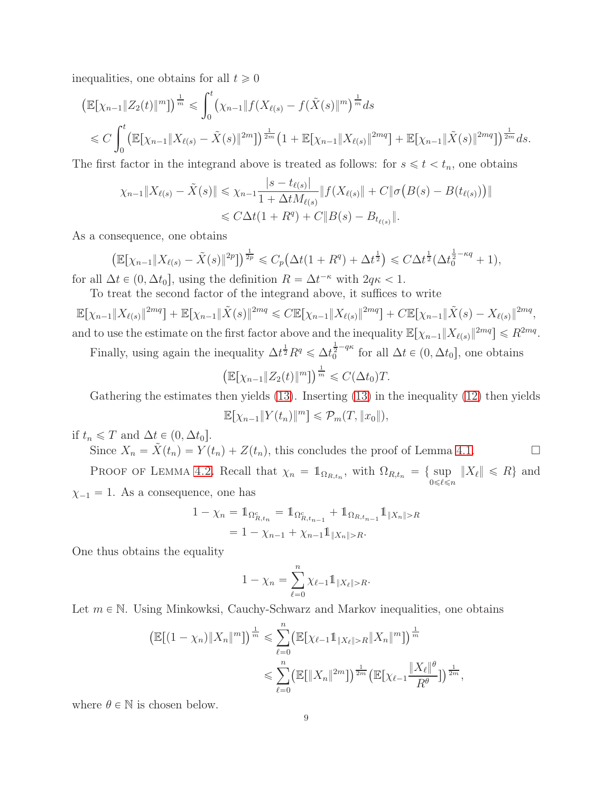inequalities, one obtains for all  $t \geq 0$ 

$$
\begin{aligned} &\left(\mathbb{E}[\chi_{n-1}\|Z_2(t)\|^m]\right)^{\frac{1}{m}} \leqslant \int_0^t \left(\chi_{n-1}\|f(X_{\ell(s)}-f(\tilde{X}(s)\|^m)^{\frac{1}{m}}ds\\ &\leqslant C\int_0^t \left(\mathbb{E}[\chi_{n-1}\|X_{\ell(s)}-\tilde{X}(s)\|^{2m}]\right)^{\frac{1}{2m}}\left(1+\mathbb{E}[\chi_{n-1}\|X_{\ell(s)}\|^{2mq}\right)+\mathbb{E}[\chi_{n-1}\|\tilde{X}(s)\|^{2mq}\right)^{\frac{1}{2m}}ds. \end{aligned}
$$

The first factor in the integrand above is treated as follows: for  $s \leq t \leq t_n$ , one obtains

$$
\chi_{n-1} \| X_{\ell(s)} - \tilde{X}(s) \| \le \chi_{n-1} \frac{|s - t_{\ell(s)}|}{1 + \Delta t M_{\ell(s)}} \| f(X_{\ell(s)} \| + C \| \sigma (B(s) - B(t_{\ell(s)})) \|
$$
  

$$
\le C \Delta t (1 + R^q) + C \| B(s) - B_{t_{\ell(s)}} \|.
$$

As a consequence, one obtains

$$
\left(\mathbb{E}[\chi_{n-1}||X_{\ell(s)} - \tilde{X}(s)||^{2p}]\right)^{\frac{1}{2p}} \leq C_p \left(\Delta t(1 + R^q) + \Delta t^{\frac{1}{2}}\right) \leq C \Delta t^{\frac{1}{2}} (\Delta t_0^{\frac{1}{2} - \kappa q} + 1),
$$

for all  $\Delta t \in (0, \Delta t_0]$ , using the definition  $R = \Delta t^{-\kappa}$  with  $2q\kappa < 1$ .

To treat the second factor of the integrand above, it suffices to write

 $\mathbb{E}[\chi_{n-1}||X_{\ell(s)}||^{2mq}] + \mathbb{E}[\chi_{n-1}||\tilde{X}(s)||^{2mq} \leq C \mathbb{E}[\chi_{n-1}||X_{\ell(s)}||^{2mq}] + C \mathbb{E}[\chi_{n-1}||\tilde{X}(s) - X_{\ell(s)}||^{2mq},$ and to use the estimate on the first factor above and the inequality  $\mathbb{E}[\chi_{n-1} || X_{\ell(s)} ||^{2mq}] \le R^{2mq}$ .

Finally, using again the inequality  $\Delta t^{\frac{1}{2}} R^q \le \Delta t_0^{\frac{1}{2}-q\kappa}$  for all  $\Delta t \in (0, \Delta t_0]$ , one obtains

$$
\left(\mathbb{E}[\chi_{n-1}||Z_2(t)||^m]\right)^{\frac{1}{m}} \leqslant C(\Delta t_0)T.
$$

Gathering the estimates then yields [\(13\)](#page-7-0). Inserting [\(13\)](#page-7-0) in the inequality [\(12\)](#page-7-1) then yields  $\mathbb{E}[\chi_{n-1}||Y(t_n)||^m] \leq \mathcal{P}_m(T, ||x_0||),$ 

if  $t_n \leq T$  and  $\Delta t \in (0, \Delta t_0]$ .

Since  $X_n = \tilde{X}(t_n) = Y(t_n) + Z(t_n)$ , this concludes the proof of Lemma [4.1.](#page-6-1) PROOF OF LEMMA [4.2.](#page-6-2) Recall that  $\chi_n = \mathbb{1}_{\Omega_{R,t_n}}$ , with  $\Omega_{R,t_n} = \{\sup_{0 \leq \ell \leq n}$  $\|X_{\ell}\| \le R\}$  and  $\chi_{-1} = 1$ . As a consequence, one has

$$
1 - \chi_n = 1_{\Omega_{R,t_n}^c} = 1_{\Omega_{R,t_{n-1}}^c} + 1_{\Omega_{R,t_{n-1}}} 1_{\|X_n\| > R}
$$
  
= 1 - \chi\_{n-1} + \chi\_{n-1} 1\_{\|X\_n\| > R}.

One thus obtains the equality

$$
1 - \chi_n = \sum_{\ell=0}^n \chi_{\ell-1} 1 \mathbb{1}_{\|X_{\ell}\| > R}.
$$

Let  $m \in \mathbb{N}$ . Using Minkowksi, Cauchy-Schwarz and Markov inequalities, one obtains

$$
\left(\mathbb{E}[(1-\chi_n)\|X_n\|^m]\right)^{\frac{1}{m}} \leq \sum_{\ell=0}^n \left(\mathbb{E}[\chi_{\ell-1}1_{\|X_{\ell}\|>R}\|X_n\|^m]\right)^{\frac{1}{m}} \leq \sum_{\ell=0}^n \left(\mathbb{E}[\|X_n\|^{2m}]\right)^{\frac{1}{2m}} \left(\mathbb{E}[\chi_{\ell-1}\frac{\|X_{\ell}\|^{\theta}}{R^{\theta}}]\right)^{\frac{1}{2m}},
$$

where  $\theta \in \mathbb{N}$  is chosen below.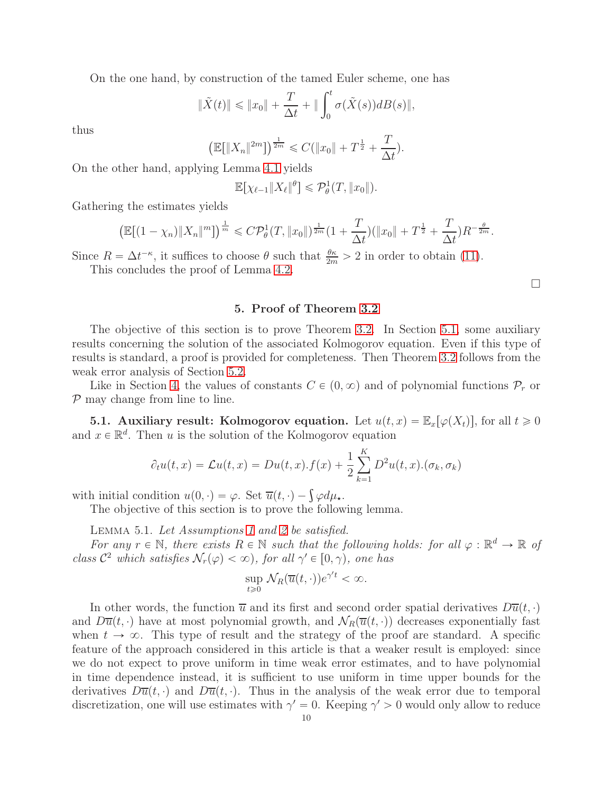On the one hand, by construction of the tamed Euler scheme, one has

$$
\|\tilde{X}(t)\| \leq \|x_0\| + \frac{T}{\Delta t} + \|\int_0^t \sigma(\tilde{X}(s))dB(s)\|,
$$

thus

$$
\left(\mathbb{E}[\|X_n\|^{2m}]\right)^{\frac{1}{2m}} \leqslant C(\|x_0\| + T^{\frac{1}{2}} + \frac{T}{\Delta t}).
$$

On the other hand, applying Lemma [4.1](#page-6-1) yields

$$
\mathbb{E}[\chi_{\ell-1}||X_{\ell}||^{\theta}] \leqslant \mathcal{P}^1_{\theta}(T, ||x_0||).
$$

Gathering the estimates yields

$$
\left(\mathbb{E}[(1-\chi_n)\|X_n\|^m]\right)^{\frac{1}{m}} \leqslant C\mathcal{P}^1_\theta(T,\|x_0\|)^{\frac{1}{2m}}(1+\frac{T}{\Delta t})(\|x_0\|+T^{\frac{1}{2}}+\frac{T}{\Delta t})R^{-\frac{\theta}{2m}}.
$$

<span id="page-9-0"></span>Since  $R = \Delta t^{-\kappa}$ , it suffices to choose  $\theta$  such that  $\frac{\theta \kappa}{2m} > 2$  in order to obtain [\(11\)](#page-6-4). This concludes the proof of Lemma [4.2.](#page-6-2)

 $\Box$ 

### 5. Proof of Theorem [3.2](#page-4-1)

The objective of this section is to prove Theorem [3.2.](#page-4-1) In Section [5.1,](#page-9-1) some auxiliary results concerning the solution of the associated Kolmogorov equation. Even if this type of results is standard, a proof is provided for completeness. Then Theorem [3.2](#page-4-1) follows from the weak error analysis of Section [5.2.](#page-11-0)

Like in Section [4,](#page-6-0) the values of constants  $C \in (0, \infty)$  and of polynomial functions  $\mathcal{P}_r$  or  $P$  may change from line to line.

<span id="page-9-1"></span>**5.1.** Auxiliary result: Kolmogorov equation. Let  $u(t, x) = \mathbb{E}_x[\varphi(X_t)],$  for all  $t \geq 0$ and  $x \in \mathbb{R}^d$ . Then u is the solution of the Kolmogorov equation

$$
\partial_t u(t,x) = \mathcal{L}u(t,x) = Du(t,x) \cdot f(x) + \frac{1}{2} \sum_{k=1}^K D^2 u(t,x) \cdot (\sigma_k, \sigma_k)
$$

with initial condition  $u(0, \cdot) = \varphi$ . Set  $\overline{u}(t, \cdot) - \int \varphi d\mu_{\star}$ .

The objective of this section is to prove the following lemma.

LEMMA 5.1. Let Assumptions [1](#page-2-0) and [2](#page-2-1) be satisfied.

<span id="page-9-2"></span>For any  $r \in \mathbb{N}$ , there exists  $R \in \mathbb{N}$  such that the following holds: for all  $\varphi : \mathbb{R}^d \to \mathbb{R}$  of class  $\mathcal{C}^2$  which satisfies  $\mathcal{N}_r(\varphi) < \infty$ , for all  $\gamma' \in [0, \gamma)$ , one has

$$
\sup_{t\geq 0} \mathcal{N}_R(\overline{u}(t,\cdot))e^{\gamma' t} < \infty.
$$

In other words, the function  $\overline{u}$  and its first and second order spatial derivatives  $D\overline{u}(t, \cdot)$ and  $D\overline{u}(t, \cdot)$  have at most polynomial growth, and  $\mathcal{N}_R(\overline{u}(t, \cdot))$  decreases exponentially fast when  $t \to \infty$ . This type of result and the strategy of the proof are standard. A specific feature of the approach considered in this article is that a weaker result is employed: since we do not expect to prove uniform in time weak error estimates, and to have polynomial in time dependence instead, it is sufficient to use uniform in time upper bounds for the derivatives  $D\overline{u}(t, \cdot)$  and  $D\overline{u}(t, \cdot)$ . Thus in the analysis of the weak error due to temporal discretization, one will use estimates with  $\gamma' = 0$ . Keeping  $\gamma' > 0$  would only allow to reduce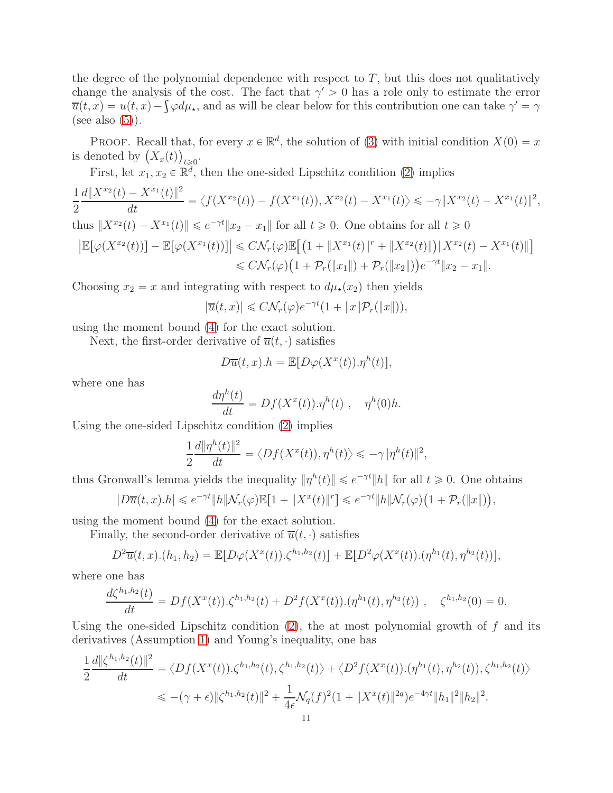the degree of the polynomial dependence with respect to  $T$ , but this does not qualitatively change the analysis of the cost. The fact that  $\gamma' > 0$  has a role only to estimate the error  $\overline{u}(t,x) = u(t,x) - \int \varphi d\mu_{\star}$ , and as will be clear below for this contribution one can take  $\gamma' = \gamma$ (see also  $(5)$ ).

PROOF. Recall that, for every  $x \in \mathbb{R}^d$ , the solution of [\(3\)](#page-2-3) with initial condition  $X(0) = x$ is denoted by  $(X_x(t))_{t \geq 0}$ .

First, let  $x_1, x_2 \in \mathbb{R}^d$ , then the one-sided Lipschitz condition [\(2\)](#page-2-5) implies

$$
\frac{1}{2}\frac{d\|X^{x_2}(t) - X^{x_1}(t)\|^2}{dt} = \langle f(X^{x_2}(t)) - f(X^{x_1}(t)), X^{x_2}(t) - X^{x_1}(t)\rangle \le -\gamma \|X^{x_2}(t) - X^{x_1}(t)\|^2,
$$
  
\nthus  $\|X^{x_2}(t) - X^{x_1}(t)\| \le e^{-\gamma t} \|x_2 - x_1\|$  for all  $t \ge 0$ . One obtains for all  $t \ge 0$   
\n $|\mathbb{E}[\varphi(X^{x_2}(t))] - \mathbb{E}[\varphi(X^{x_1}(t))]\| \le C\mathcal{N}_r(\varphi)\mathbb{E}[(1 + \|X^{x_1}(t)\|^r + \|X^{x_2}(t)\|)]\|X^{x_2}(t) - X^{x_1}(t)\|]$   
\n $\le C\mathcal{N}_r(\varphi)(1 + \mathcal{P}_r(\|x_1\|) + \mathcal{P}_r(\|x_2\|))e^{-\gamma t}\|x_2 - x_1\|.$ 

Choosing  $x_2 = x$  and integrating with respect to  $d\mu_{\star}(x_2)$  then yields

$$
|\overline{u}(t,x)| \leq C \mathcal{N}_r(\varphi) e^{-\gamma t} (1 + \|x\| \mathcal{P}_r(\|x\|)),
$$

using the moment bound [\(4\)](#page-2-4) for the exact solution.

Next, the first-order derivative of  $\overline{u}(t, \cdot)$  satisfies

$$
D\overline{u}(t,x).h = \mathbb{E}[D\varphi(X^x(t)).\eta^h(t)],
$$

where one has

$$
\frac{d\eta^h(t)}{dt} = Df(X^x(t)).\eta^h(t) , \quad \eta^h(0)h.
$$

Using the one-sided Lipschitz condition [\(2\)](#page-2-5) implies

$$
\frac{1}{2}\frac{d\|\eta^h(t)\|^2}{dt} = \langle Df(X^x(t)), \eta^h(t) \rangle \leq -\gamma \|\eta^h(t)\|^2,
$$

thus Gronwall's lemma yields the inequality  $\|\eta^{h}(t)\| \leq e^{-\gamma t} \|h\|$  for all  $t \geq 0$ . One obtains

$$
|D\overline{u}(t,x).h| \leq e^{-\gamma t} \|h\|\mathcal{N}_r(\varphi)\mathbb{E}[1+\|X^x(t)\|^r] \leq e^{-\gamma t} \|h\|\mathcal{N}_r(\varphi)\big(1+\mathcal{P}_r(\|x\|\big)\big),
$$

using the moment bound [\(4\)](#page-2-4) for the exact solution.

Finally, the second-order derivative of  $\overline{u}(t, \cdot)$  satisfies

$$
D^{2}\overline{u}(t,x) \cdot (h_{1},h_{2}) = \mathbb{E}[D\varphi(X^{x}(t)) \cdot \zeta^{h_{1},h_{2}}(t)] + \mathbb{E}[D^{2}\varphi(X^{x}(t)) \cdot (\eta^{h_{1}}(t),\eta^{h_{2}}(t))],
$$

where one has

$$
\frac{d\zeta^{h_1,h_2}(t)}{dt} = Df(X^x(t)).\zeta^{h_1,h_2}(t) + D^2f(X^x(t)).(\eta^{h_1}(t),\eta^{h_2}(t)) , \quad \zeta^{h_1,h_2}(0) = 0.
$$

Using the one-sided Lipschitz condition  $(2)$ , the at most polynomial growth of f and its derivatives (Assumption [1\)](#page-2-0) and Young's inequality, one has

$$
\frac{1}{2}\frac{d\|\zeta^{h_1,h_2}(t)\|^2}{dt} = \langle Df(X^x(t)).\zeta^{h_1,h_2}(t), \zeta^{h_1,h_2}(t)\rangle + \langle D^2f(X^x(t)).(\eta^{h_1}(t), \eta^{h_2}(t)), \zeta^{h_1,h_2}(t)\rangle
$$
  

$$
\leq -(\gamma + \epsilon)\|\zeta^{h_1,h_2}(t)\|^2 + \frac{1}{4\epsilon}\mathcal{N}_q(f)^2(1 + \|X^x(t)\|^{2q})e^{-4\gamma t}\|h_1\|^2\|h_2\|^2.
$$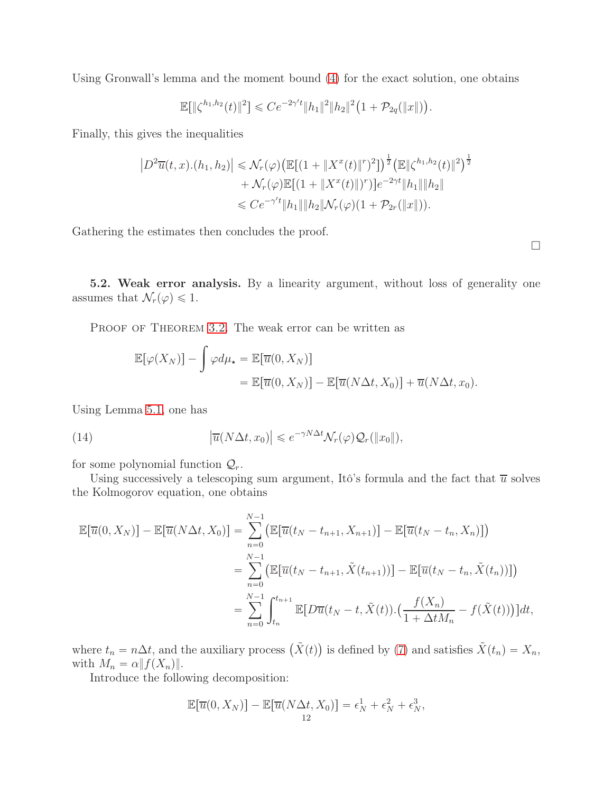Using Gronwall's lemma and the moment bound [\(4\)](#page-2-4) for the exact solution, one obtains

$$
\mathbb{E}[\|\zeta^{h_1,h_2}(t)\|^2] \leq Ce^{-2\gamma't} \|h_1\|^2 \|h_2\|^2 \left(1+\mathcal{P}_{2q}(\|x\|)\right).
$$

Finally, this gives the inequalities

$$
|D^2 \overline{u}(t, x) \cdot (h_1, h_2)| \le \mathcal{N}_r(\varphi) \big( \mathbb{E}[(1 + \|X^x(t)\|^r)^2] \big)^{\frac{1}{2}} \big( \mathbb{E} \|\zeta^{h_1, h_2}(t)\|^2 \big)^{\frac{1}{2}} + \mathcal{N}_r(\varphi) \mathbb{E}[(1 + \|X^x(t)\|^r)] e^{-2\gamma t} \|h_1\| \|h_2\|
$$
  

$$
\le C e^{-\gamma' t} \|h_1\| \|h_2\| \mathcal{N}_r(\varphi) (1 + \mathcal{P}_{2r}(\|x\|)).
$$

Gathering the estimates then concludes the proof.

 $\Box$ 

<span id="page-11-0"></span>5.2. Weak error analysis. By a linearity argument, without loss of generality one assumes that  $\mathcal{N}_r(\varphi) \leq 1$ .

PROOF OF THEOREM [3.2.](#page-4-1) The weak error can be written as

<span id="page-11-1"></span>
$$
\mathbb{E}[\varphi(X_N)] - \int \varphi d\mu_{\star} = \mathbb{E}[\overline{u}(0, X_N)]
$$
  
= 
$$
\mathbb{E}[\overline{u}(0, X_N)] - \mathbb{E}[\overline{u}(N\Delta t, X_0)] + \overline{u}(N\Delta t, x_0).
$$

Using Lemma [5.1,](#page-9-2) one has

(14) 
$$
\left|\overline{u}(N\Delta t, x_0)\right| \leq e^{-\gamma N\Delta t} \mathcal{N}_r(\varphi) \mathcal{Q}_r(\|x_0\|),
$$

for some polynomial function  $\mathcal{Q}_r$ .

Using successively a telescoping sum argument, Itô's formula and the fact that  $\overline{u}$  solves the Kolmogorov equation, one obtains

$$
\mathbb{E}[\overline{u}(0, X_N)] - \mathbb{E}[\overline{u}(N\Delta t, X_0)] = \sum_{n=0}^{N-1} \left( \mathbb{E}[\overline{u}(t_N - t_{n+1}, X_{n+1})] - \mathbb{E}[\overline{u}(t_N - t_n, X_n)] \right)
$$
  
\n
$$
= \sum_{n=0}^{N-1} \left( \mathbb{E}[\overline{u}(t_N - t_{n+1}, \tilde{X}(t_{n+1}))] - \mathbb{E}[\overline{u}(t_N - t_n, \tilde{X}(t_n))] \right)
$$
  
\n
$$
= \sum_{n=0}^{N-1} \int_{t_n}^{t_{n+1}} \mathbb{E}[D\overline{u}(t_N - t, \tilde{X}(t)) \cdot (\frac{f(X_n)}{1 + \Delta t M_n} - f(\tilde{X}(t)))] dt,
$$

where  $t_n = n\Delta t$ , and the auxiliary process  $(\tilde{X}(t))$  is defined by [\(7\)](#page-3-1) and satisfies  $\tilde{X}(t_n) = X_n$ , with  $M_n = \alpha ||f(X_n)||$ .

Introduce the following decomposition:

$$
\mathbb{E}[\overline{u}(0, X_N)] - \mathbb{E}[\overline{u}(N\Delta t, X_0)] = \epsilon_N^1 + \epsilon_N^2 + \epsilon_N^3,
$$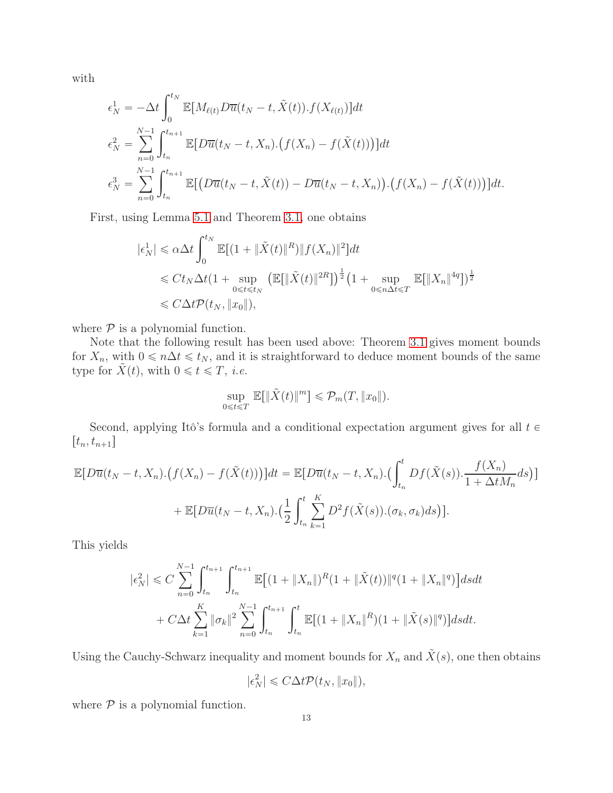with

$$
\epsilon_N^1 = -\Delta t \int_0^{t_N} \mathbb{E}[M_{\ell(t)} D\overline{u}(t_N - t, \tilde{X}(t)).f(X_{\ell(t)})] dt \n\epsilon_N^2 = \sum_{n=0}^{N-1} \int_{t_n}^{t_{n+1}} \mathbb{E}[D\overline{u}(t_N - t, X_n).(f(X_n) - f(\tilde{X}(t)))] dt \n\epsilon_N^3 = \sum_{n=0}^{N-1} \int_{t_n}^{t_{n+1}} \mathbb{E}[(D\overline{u}(t_N - t, \tilde{X}(t)) - D\overline{u}(t_N - t, X_n)).(f(X_n) - f(\tilde{X}(t)))] dt.
$$

First, using Lemma [5.1](#page-9-2) and Theorem [3.1,](#page-4-0) one obtains

$$
\begin{aligned} |\epsilon_N^1| &\le \alpha \Delta t \int_0^{t_N} \mathbb{E}[(1 + \|\tilde{X}(t)\|^R) \|f(X_n)\|^2] dt \\ &\le C t_N \Delta t (1 + \sup_{0 \le t \le t_N} \left( \mathbb{E}[\|\tilde{X}(t)\|^{2R}] \right)^{\frac{1}{2}} \left( 1 + \sup_{0 \le n \Delta t \le T} \mathbb{E}[\|X_n\|^{4q}] \right)^{\frac{1}{2}} \\ &\le C \Delta t \mathcal{P}(t_N, \|x_0\|), \end{aligned}
$$

where  $P$  is a polynomial function.

Note that the following result has been used above: Theorem [3.1](#page-4-0) gives moment bounds for  $X_n$ , with  $0 \le n\Delta t \le t_N$ , and it is straightforward to deduce moment bounds of the same type for  $\tilde{X}(t)$ , with  $0 \leq t \leq T$ , *i.e.* 

$$
\sup_{0 \leq t \leq T} \mathbb{E}[\|\tilde{X}(t)\|^m] \leq \mathcal{P}_m(T, \|x_0\|).
$$

Second, applying Itô's formula and a conditional expectation argument gives for all  $t \in$  $[t_n, t_{n+1}]$ 

$$
\mathbb{E}[D\overline{u}(t_N-t, X_n) \cdot (f(X_n) - f(\tilde{X}(t)))]\,dt = \mathbb{E}[D\overline{u}(t_N-t, X_n) \cdot (\int_{t_n}^t Df(\tilde{X}(s)) \cdot \frac{f(X_n)}{1 + \Delta t M_n} ds)]
$$

$$
+ \mathbb{E}[D\overline{u}(t_N-t, X_n) \cdot (\frac{1}{2} \int_{t_n}^t \sum_{k=1}^K D^2f(\tilde{X}(s)) \cdot (\sigma_k, \sigma_k)ds)].
$$

This yields

$$
|\epsilon_N^2| \leq C \sum_{n=0}^{N-1} \int_{t_n}^{t_{n+1}} \int_{t_n}^{t_{n+1}} \mathbb{E}[(1 + \|X_n\|)^R (1 + \|\tilde{X}(t))\|^q (1 + \|X_n\|^q)] ds dt
$$
  
+  $C \Delta t \sum_{k=1}^K \|\sigma_k\|^2 \sum_{n=0}^{N-1} \int_{t_n}^{t_{n+1}} \int_{t_n}^t \mathbb{E}[(1 + \|X_n\|^R)(1 + \|\tilde{X}(s)\|^q)] ds dt.$ 

Using the Cauchy-Schwarz inequality and moment bounds for  $X_n$  and  $\tilde{X}(s)$ , one then obtains

$$
|\epsilon_N^2| \leq C\Delta t \mathcal{P}(t_N, \|x_0\|),
$$

where  $P$  is a polynomial function.